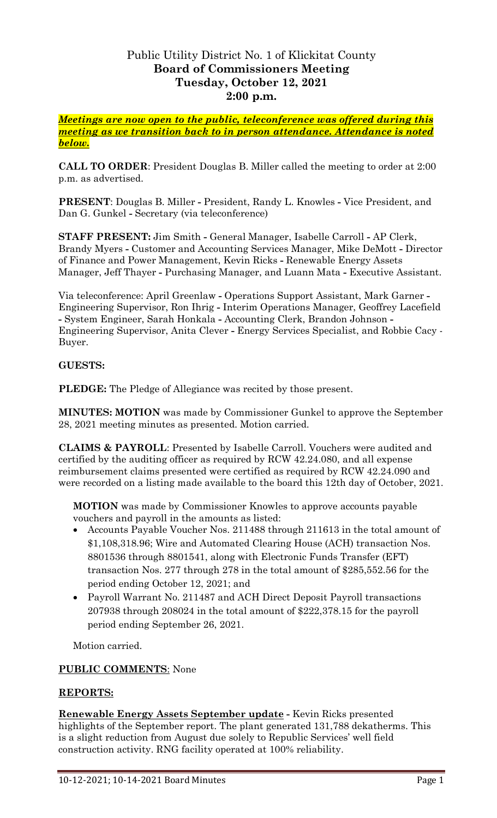# Public Utility District No. 1 of Klickitat County **Board of Commissioners Meeting Tuesday, October 12, 2021 2:00 p.m.**

*Meetings are now open to the public, teleconference was offered during this meeting as we transition back to in person attendance. Attendance is noted below.*

**CALL TO ORDER**: President Douglas B. Miller called the meeting to order at 2:00 p.m. as advertised.

**PRESENT**: Douglas B. Miller **-** President, Randy L. Knowles **-** Vice President, and Dan G. Gunkel **-** Secretary (via teleconference)

**STAFF PRESENT:** Jim Smith **-** General Manager, Isabelle Carroll **-** AP Clerk, Brandy Myers **-** Customer and Accounting Services Manager, Mike DeMott **-** Director of Finance and Power Management, Kevin Ricks **-** Renewable Energy Assets Manager, Jeff Thayer **-** Purchasing Manager, and Luann Mata **-** Executive Assistant.

Via teleconference: April Greenlaw **-** Operations Support Assistant, Mark Garner **-** Engineering Supervisor, Ron Ihrig **-** Interim Operations Manager, Geoffrey Lacefield **-** System Engineer, Sarah Honkala **-** Accounting Clerk, Brandon Johnson **-** Engineering Supervisor, Anita Clever **-** Energy Services Specialist, and Robbie Cacy - Buyer.

## **GUESTS:**

**PLEDGE:** The Pledge of Allegiance was recited by those present.

**MINUTES: MOTION** was made by Commissioner Gunkel to approve the September 28, 2021 meeting minutes as presented. Motion carried.

**CLAIMS & PAYROLL**: Presented by Isabelle Carroll. Vouchers were audited and certified by the auditing officer as required by RCW 42.24.080, and all expense reimbursement claims presented were certified as required by RCW 42.24.090 and were recorded on a listing made available to the board this 12th day of October, 2021.

**MOTION** was made by Commissioner Knowles to approve accounts payable vouchers and payroll in the amounts as listed:

- Accounts Payable Voucher Nos. 211488 through 211613 in the total amount of \$1,108,318.96; Wire and Automated Clearing House (ACH) transaction Nos. 8801536 through 8801541, along with Electronic Funds Transfer (EFT) transaction Nos. 277 through 278 in the total amount of \$285,552.56 for the period ending October 12, 2021; and
- Payroll Warrant No. 211487 and ACH Direct Deposit Payroll transactions 207938 through 208024 in the total amount of \$222,378.15 for the payroll period ending September 26, 2021.

Motion carried.

#### **PUBLIC COMMENTS**: None

#### **REPORTS:**

**Renewable Energy Assets September update -** Kevin Ricks presented highlights of the September report. The plant generated 131,788 dekatherms. This is a slight reduction from August due solely to Republic Services' well field construction activity. RNG facility operated at 100% reliability.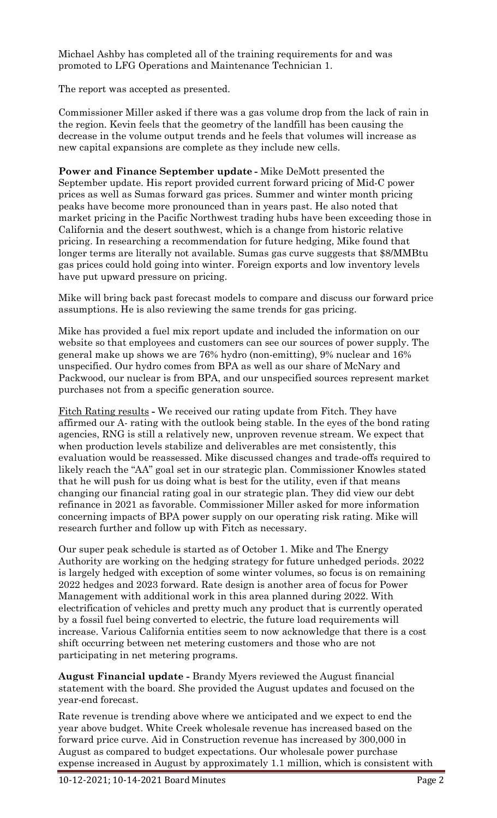Michael Ashby has completed all of the training requirements for and was promoted to LFG Operations and Maintenance Technician 1.

The report was accepted as presented.

Commissioner Miller asked if there was a gas volume drop from the lack of rain in the region. Kevin feels that the geometry of the landfill has been causing the decrease in the volume output trends and he feels that volumes will increase as new capital expansions are complete as they include new cells.

**Power and Finance September update -** Mike DeMott presented the September update. His report provided current forward pricing of Mid-C power prices as well as Sumas forward gas prices. Summer and winter month pricing peaks have become more pronounced than in years past. He also noted that market pricing in the Pacific Northwest trading hubs have been exceeding those in California and the desert southwest, which is a change from historic relative pricing. In researching a recommendation for future hedging, Mike found that longer terms are literally not available. Sumas gas curve suggests that \$8/MMBtu gas prices could hold going into winter. Foreign exports and low inventory levels have put upward pressure on pricing.

Mike will bring back past forecast models to compare and discuss our forward price assumptions. He is also reviewing the same trends for gas pricing.

Mike has provided a fuel mix report update and included the information on our website so that employees and customers can see our sources of power supply. The general make up shows we are 76% hydro (non-emitting), 9% nuclear and 16% unspecified. Our hydro comes from BPA as well as our share of McNary and Packwood, our nuclear is from BPA, and our unspecified sources represent market purchases not from a specific generation source.

Fitch Rating results **-** We received our rating update from Fitch. They have affirmed our A- rating with the outlook being stable. In the eyes of the bond rating agencies, RNG is still a relatively new, unproven revenue stream. We expect that when production levels stabilize and deliverables are met consistently, this evaluation would be reassessed. Mike discussed changes and trade-offs required to likely reach the "AA" goal set in our strategic plan. Commissioner Knowles stated that he will push for us doing what is best for the utility, even if that means changing our financial rating goal in our strategic plan. They did view our debt refinance in 2021 as favorable. Commissioner Miller asked for more information concerning impacts of BPA power supply on our operating risk rating. Mike will research further and follow up with Fitch as necessary.

Our super peak schedule is started as of October 1. Mike and The Energy Authority are working on the hedging strategy for future unhedged periods. 2022 is largely hedged with exception of some winter volumes, so focus is on remaining 2022 hedges and 2023 forward. Rate design is another area of focus for Power Management with additional work in this area planned during 2022. With electrification of vehicles and pretty much any product that is currently operated by a fossil fuel being converted to electric, the future load requirements will increase. Various California entities seem to now acknowledge that there is a cost shift occurring between net metering customers and those who are not participating in net metering programs.

**August Financial update -** Brandy Myers reviewed the August financial statement with the board. She provided the August updates and focused on the year-end forecast.

Rate revenue is trending above where we anticipated and we expect to end the year above budget. White Creek wholesale revenue has increased based on the forward price curve. Aid in Construction revenue has increased by 300,000 in August as compared to budget expectations. Our wholesale power purchase expense increased in August by approximately 1.1 million, which is consistent with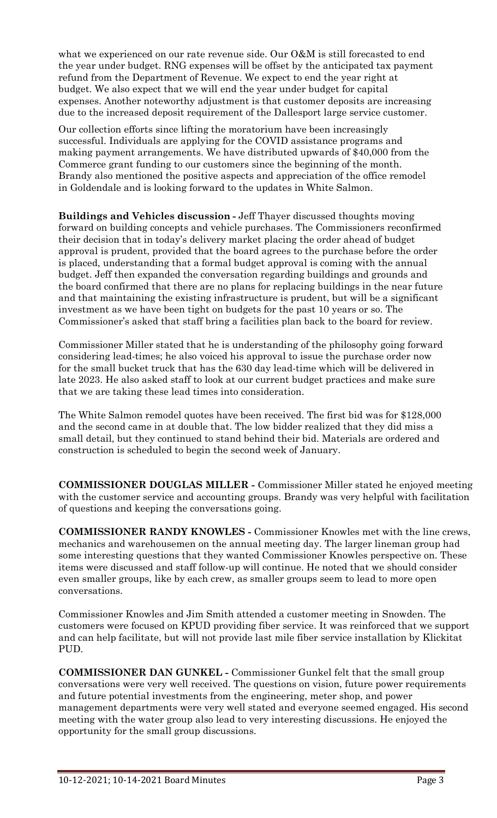what we experienced on our rate revenue side. Our O&M is still forecasted to end the year under budget. RNG expenses will be offset by the anticipated tax payment refund from the Department of Revenue. We expect to end the year right at budget. We also expect that we will end the year under budget for capital expenses. Another noteworthy adjustment is that customer deposits are increasing due to the increased deposit requirement of the Dallesport large service customer.

Our collection efforts since lifting the moratorium have been increasingly successful. Individuals are applying for the COVID assistance programs and making payment arrangements. We have distributed upwards of \$40,000 from the Commerce grant funding to our customers since the beginning of the month. Brandy also mentioned the positive aspects and appreciation of the office remodel in Goldendale and is looking forward to the updates in White Salmon.

**Buildings and Vehicles discussion -** Jeff Thayer discussed thoughts moving forward on building concepts and vehicle purchases. The Commissioners reconfirmed their decision that in today's delivery market placing the order ahead of budget approval is prudent, provided that the board agrees to the purchase before the order is placed, understanding that a formal budget approval is coming with the annual budget. Jeff then expanded the conversation regarding buildings and grounds and the board confirmed that there are no plans for replacing buildings in the near future and that maintaining the existing infrastructure is prudent, but will be a significant investment as we have been tight on budgets for the past 10 years or so. The Commissioner's asked that staff bring a facilities plan back to the board for review.

Commissioner Miller stated that he is understanding of the philosophy going forward considering lead-times; he also voiced his approval to issue the purchase order now for the small bucket truck that has the 630 day lead-time which will be delivered in late 2023. He also asked staff to look at our current budget practices and make sure that we are taking these lead times into consideration.

The White Salmon remodel quotes have been received. The first bid was for \$128,000 and the second came in at double that. The low bidder realized that they did miss a small detail, but they continued to stand behind their bid. Materials are ordered and construction is scheduled to begin the second week of January.

**COMMISSIONER DOUGLAS MILLER -** Commissioner Miller stated he enjoyed meeting with the customer service and accounting groups. Brandy was very helpful with facilitation of questions and keeping the conversations going.

**COMMISSIONER RANDY KNOWLES -** Commissioner Knowles met with the line crews, mechanics and warehousemen on the annual meeting day. The larger lineman group had some interesting questions that they wanted Commissioner Knowles perspective on. These items were discussed and staff follow-up will continue. He noted that we should consider even smaller groups, like by each crew, as smaller groups seem to lead to more open conversations.

Commissioner Knowles and Jim Smith attended a customer meeting in Snowden. The customers were focused on KPUD providing fiber service. It was reinforced that we support and can help facilitate, but will not provide last mile fiber service installation by Klickitat PUD.

**COMMISSIONER DAN GUNKEL -** Commissioner Gunkel felt that the small group conversations were very well received. The questions on vision, future power requirements and future potential investments from the engineering, meter shop, and power management departments were very well stated and everyone seemed engaged. His second meeting with the water group also lead to very interesting discussions. He enjoyed the opportunity for the small group discussions.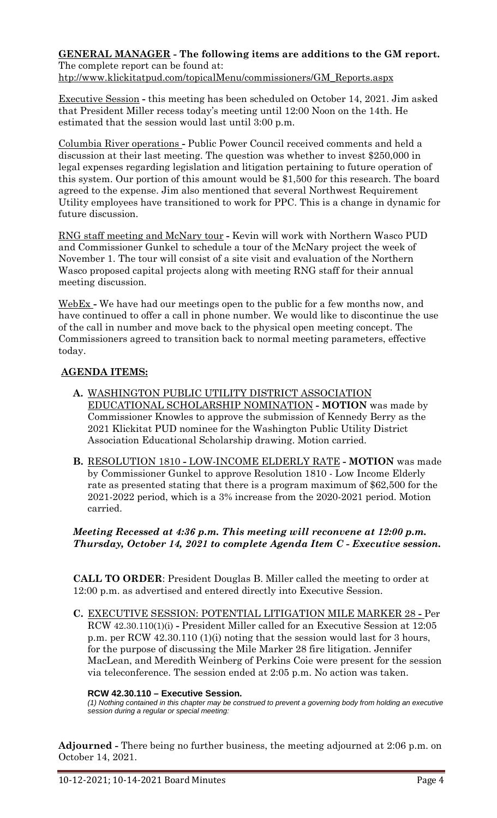#### **GENERAL MANAGER - The following items are additions to the GM report.** The complete report can be found at:

[htp://www.klickitatpud.com/topicalMenu/commissioners/GM\\_Reports.aspx](http://www.klickitatpud.com/topicalMenu/commissioners/GM_Reports.aspx)

Executive Session **-** this meeting has been scheduled on October 14, 2021. Jim asked that President Miller recess today's meeting until 12:00 Noon on the 14th. He estimated that the session would last until 3:00 p.m.

Columbia River operations **-** Public Power Council received comments and held a discussion at their last meeting. The question was whether to invest \$250,000 in legal expenses regarding legislation and litigation pertaining to future operation of this system. Our portion of this amount would be \$1,500 for this research. The board agreed to the expense. Jim also mentioned that several Northwest Requirement Utility employees have transitioned to work for PPC. This is a change in dynamic for future discussion.

RNG staff meeting and McNary tour **-** Kevin will work with Northern Wasco PUD and Commissioner Gunkel to schedule a tour of the McNary project the week of November 1. The tour will consist of a site visit and evaluation of the Northern Wasco proposed capital projects along with meeting RNG staff for their annual meeting discussion.

WebEx **-** We have had our meetings open to the public for a few months now, and have continued to offer a call in phone number. We would like to discontinue the use of the call in number and move back to the physical open meeting concept. The Commissioners agreed to transition back to normal meeting parameters, effective today.

# **AGENDA ITEMS:**

- **A.** WASHINGTON PUBLIC UTILITY DISTRICT ASSOCIATION EDUCATIONAL SCHOLARSHIP NOMINATION **- MOTION** was made by Commissioner Knowles to approve the submission of Kennedy Berry as the 2021 Klickitat PUD nominee for the Washington Public Utility District Association Educational Scholarship drawing. Motion carried.
- **B.** RESOLUTION 1810 **-** LOW-INCOME ELDERLY RATE **- MOTION** was made by Commissioner Gunkel to approve Resolution 1810 - Low Income Elderly rate as presented stating that there is a program maximum of \$62,500 for the 2021-2022 period, which is a 3% increase from the 2020-2021 period. Motion carried.

## *Meeting Recessed at 4:36 p.m. This meeting will reconvene at 12:00 p.m. Thursday, October 14, 2021 to complete Agenda Item C - Executive session.*

**CALL TO ORDER**: President Douglas B. Miller called the meeting to order at 12:00 p.m. as advertised and entered directly into Executive Session.

**C.** EXECUTIVE SESSION: POTENTIAL LITIGATION MILE MARKER 28 **-** Per RCW 42.30.110(1)(i) **-** President Miller called for an Executive Session at 12:05 p.m. per RCW 42.30.110 (1)(i) noting that the session would last for 3 hours, for the purpose of discussing the Mile Marker 28 fire litigation. Jennifer MacLean, and Meredith Weinberg of Perkins Coie were present for the session via teleconference. The session ended at 2:05 p.m. No action was taken.

#### **RCW 42.30.110 – Executive Session.**

*(1) Nothing contained in this chapter may be construed to prevent a governing body from holding an executive session during a regular or special meeting:*

**Adjourned -** There being no further business, the meeting adjourned at 2:06 p.m. on October 14, 2021.